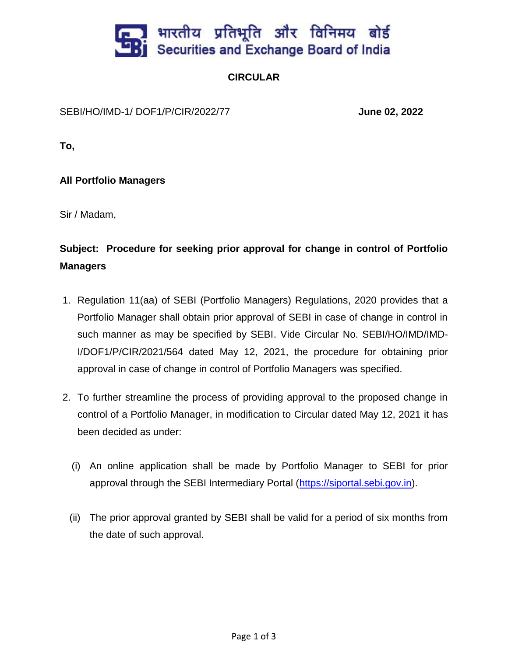

## **CIRCULAR**

SEBI/HO/IMD-1/ DOF1/P/CIR/2022/77 **June 02, 2022**

**To,**

**All Portfolio Managers**

Sir / Madam,

## **Subject: Procedure for seeking prior approval for change in control of Portfolio Managers**

- 1. Regulation 11(aa) of SEBI (Portfolio Managers) Regulations, 2020 provides that a Portfolio Manager shall obtain prior approval of SEBI in case of change in control in such manner as may be specified by SEBI. Vide Circular No. SEBI/HO/IMD/IMD-I/DOF1/P/CIR/2021/564 dated May 12, 2021, the procedure for obtaining prior approval in case of change in control of Portfolio Managers was specified.
- 2. To further streamline the process of providing approval to the proposed change in control of a Portfolio Manager, in modification to Circular dated May 12, 2021 it has been decided as under:
	- (i) An online application shall be made by Portfolio Manager to SEBI for prior approval through the SEBI Intermediary Portal [\(https://siportal.sebi.gov.in\)](https://siportal.sebi.gov.in/).
	- (ii) The prior approval granted by SEBI shall be valid for a period of six months from the date of such approval.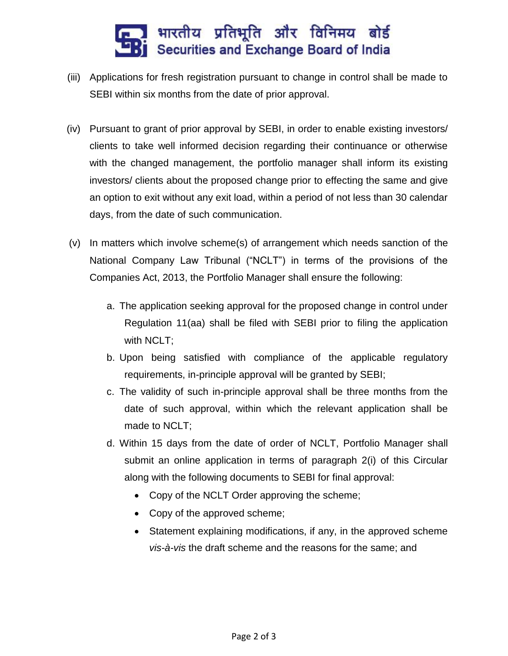

- (iii) Applications for fresh registration pursuant to change in control shall be made to SEBI within six months from the date of prior approval.
- (iv) Pursuant to grant of prior approval by SEBI, in order to enable existing investors/ clients to take well informed decision regarding their continuance or otherwise with the changed management, the portfolio manager shall inform its existing investors/ clients about the proposed change prior to effecting the same and give an option to exit without any exit load, within a period of not less than 30 calendar days, from the date of such communication.
- (v) In matters which involve scheme(s) of arrangement which needs sanction of the National Company Law Tribunal ("NCLT") in terms of the provisions of the Companies Act, 2013, the Portfolio Manager shall ensure the following:
	- a. The application seeking approval for the proposed change in control under Regulation 11(aa) shall be filed with SEBI prior to filing the application with NCLT;
	- b. Upon being satisfied with compliance of the applicable regulatory requirements, in-principle approval will be granted by SEBI;
	- c. The validity of such in-principle approval shall be three months from the date of such approval, within which the relevant application shall be made to NCLT;
	- d. Within 15 days from the date of order of NCLT, Portfolio Manager shall submit an online application in terms of paragraph 2(i) of this Circular along with the following documents to SEBI for final approval:
		- Copy of the NCLT Order approving the scheme;
		- Copy of the approved scheme;
		- Statement explaining modifications, if any, in the approved scheme *vis-à-vis* the draft scheme and the reasons for the same; and